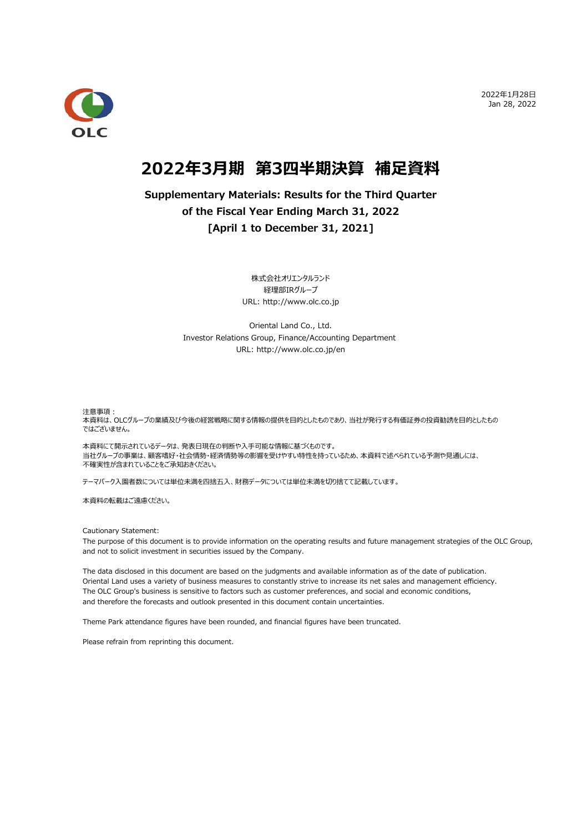2022年1⽉28⽇ Jan 28, 2022



# **2022年3⽉期 第3四半期決算 補⾜資料**

## **Supplementary Materials: Results for the Third Quarter of the Fiscal Year Ending March 31, 2022 [April 1 to December 31, 2021]**

株式会社オリエンタルランド 経理部IRグループ URL: http://www.olc.co.jp

Oriental Land Co., Ltd. Investor Relations Group, Finance/Accounting Department URL: http://www.olc.co.jp/en

注意事項:

本資料は、OLCグループの業績及び今後の経営戦略に関する情報の提供を目的としたものであり、当社が発行する有価証券の投資勧誘を目的としたもの ではございません ではございません。

本資料にて開示されているデータは、発表日現在の判断や入手可能な情報に基づくものです。 当社グループの事業は、顧客嗜好・社会情勢・経済情勢等の影響を受けやすい特性を持っているため、本資料で述べられている予測や見通しには、 不確実性が含まれていることをご承知おきください。

テーマパーク⼊園者数については単位未満を四捨五⼊、財務データについては単位未満を切り捨てて記載しています。

本資料の転載はご遠慮ください。

Cautionary Statement:

The purpose of this document is to provide information on the operating results and future management strategies of the OLC Group, and not to solicit investment in securities issued by the Company.

The data disclosed in this document are based on the judgments and available information as of the date of publication. Oriental Land uses a variety of business measures to constantly strive to increase its net sales and management efficiency. The OLC Group's business is sensitive to factors such as customer preferences, and social and economic conditions, and therefore the forecasts and outlook presented in this document contain uncertainties.

Theme Park attendance figures have been rounded, and financial figures have been truncated.

Please refrain from reprinting this document.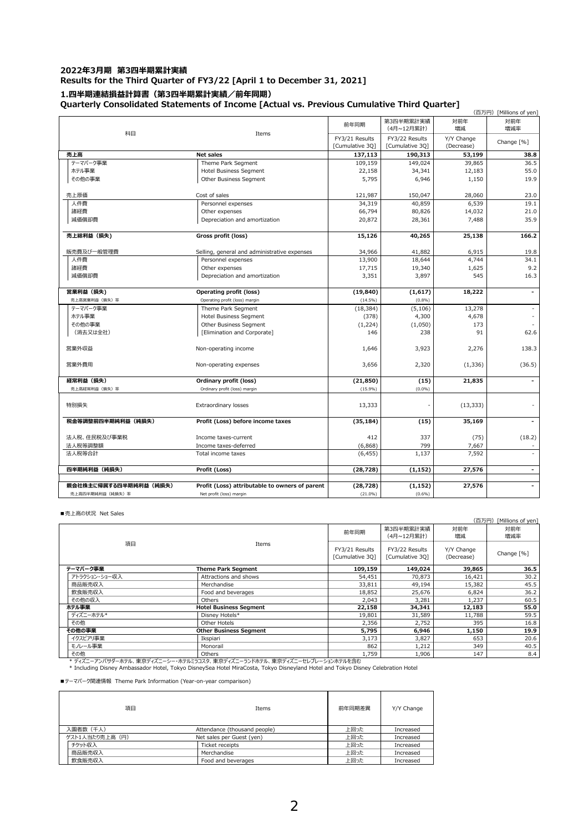#### **2022年3⽉期 第3四半期累計実績 Results for the Third Quarter of FY3/22 [April 1 to December 31, 2021] 1.四半期連結損益計算書(第3四半期累計実績/前年同期) Quarterly Consolidated Statements of Income [Actual vs. Previous Cumulative Third Quarter]**

|                                   | (百万円) [Millions of yen]                        |                 |                         |            |                |  |  |  |  |
|-----------------------------------|------------------------------------------------|-----------------|-------------------------|------------|----------------|--|--|--|--|
|                                   |                                                | 前年同期            | 第3四半期累計実績<br>(4月~12月累計) | 対前年<br>増減  | 対前年<br>増減率     |  |  |  |  |
| 科目                                | Items                                          | FY3/21 Results  | FY3/22 Results          | Y/Y Change |                |  |  |  |  |
|                                   |                                                | [Cumulative 3Q] | [Cumulative 3Q]         | (Decrease) | Change [%]     |  |  |  |  |
| 売上高                               | <b>Net sales</b>                               | 137,113         | 190,313                 | 53,199     | 38.8           |  |  |  |  |
| テーマパーク事業                          | Theme Park Segment                             | 109,159         | 149,024                 | 39,865     | 36.5           |  |  |  |  |
| ホテル事業                             | <b>Hotel Business Segment</b>                  | 22,158          | 34,341                  | 12,183     | 55.0           |  |  |  |  |
| その他の事業                            | Other Business Segment                         | 5,795           | 6,946                   | 1,150      | 19.9           |  |  |  |  |
| 売上原価                              | 121,987                                        | 150,047         | 28,060                  | 23.0       |                |  |  |  |  |
| 人件費                               | Personnel expenses                             | 34,319          | 40,859                  | 6,539      | 19.1           |  |  |  |  |
| 諸経費                               | Other expenses                                 | 66,794          | 80,826                  | 14,032     | 21.0           |  |  |  |  |
| 減価償却費                             | Depreciation and amortization                  | 20,872          | 28,361                  | 7,488      | 35.9           |  |  |  |  |
| 売上総利益 (損失)<br>Gross profit (loss) |                                                | 15,126          | 40,265                  | 25,138     | 166.2          |  |  |  |  |
| 販売費及び一般管理費                        | Selling, general and administrative expenses   | 34,966          | 41,882                  | 6,915      | 19.8           |  |  |  |  |
| 人件費                               | Personnel expenses                             | 13,900          | 18,644                  | 4,744      | 34.1           |  |  |  |  |
| 諸経費                               | Other expenses                                 | 17,715          | 19,340                  | 1,625      | 9.2            |  |  |  |  |
| 減価償却費                             | Depreciation and amortization                  | 3,351           | 3,897                   | 545        | 16.3           |  |  |  |  |
|                                   |                                                |                 |                         |            |                |  |  |  |  |
| 営業利益 (損失)                         | Operating profit (loss)                        | (19, 840)       | (1,617)                 | 18,222     |                |  |  |  |  |
| 売上高営業利益(損失)率                      | Operating profit (loss) margin                 | $(14.5\%)$      | (0.8%)                  |            |                |  |  |  |  |
| テーマパーク事業                          | Theme Park Segment                             | (18, 384)       | (5, 106)                | 13,278     | $\sim$         |  |  |  |  |
| ホテル事業                             | Hotel Business Segment                         | (378)           | 4,300                   | 4,678      |                |  |  |  |  |
| その他の事業                            | Other Business Segment                         | (1,224)         | (1,050)                 | 173        |                |  |  |  |  |
| (消去又は全社)                          | [Elimination and Corporate]                    | 146             | 238                     | 91         | 62.6           |  |  |  |  |
| 営業外収益                             | Non-operating income                           | 1,646           | 3,923                   | 2,276      | 138.3          |  |  |  |  |
| 営業外費用<br>Non-operating expenses   |                                                | 3,656           | 2,320                   | (1, 336)   | (36.5)         |  |  |  |  |
| 経常利益(損失)                          | Ordinary profit (loss)                         | (21, 850)       | (15)                    | 21,835     |                |  |  |  |  |
| 売上高経常利益 (損失) 率                    | Ordinary profit (loss) margin                  | (15.9%)         | $(0.0\%)$               |            |                |  |  |  |  |
| 特別損失                              | Extraordinary losses                           | 13,333          |                         | (13, 333)  |                |  |  |  |  |
| 税金等調整前四半期純利益(純損失)                 | Profit (Loss) before income taxes              | (35, 184)       | (15)                    | 35,169     |                |  |  |  |  |
| 法人税、住民税及び事業税                      | Income taxes-current                           | 412             | 337                     | (75)       | (18.2)         |  |  |  |  |
| 法人税等調整額                           | Income taxes-deferred                          | (6,868)         | 799                     | 7,667      |                |  |  |  |  |
| 法人税等合計                            | Total income taxes                             | (6, 455)        | 1,137                   | 7,592      |                |  |  |  |  |
|                                   |                                                |                 |                         |            |                |  |  |  |  |
| 四半期純利益 (純損失)                      | Profit (Loss)                                  | (28, 728)       | (1, 152)                | 27,576     | $\blacksquare$ |  |  |  |  |
|                                   |                                                |                 |                         |            |                |  |  |  |  |
| 親会社株主に帰属する四半期純利益(純損失)             | Profit (Loss) attributable to owners of parent | (28, 728)       | (1, 152)                | 27,576     |                |  |  |  |  |
| 売上高四半期純利益 (純損失) 率                 | Net profit (loss) margin                       | $(21.0\%)$      | (0.6%)                  |            |                |  |  |  |  |

■売上高の状況 Net Sales

|                                                                                                                                 |                                                                         |                                   |                                   | (百万円)                    | [Millions of yen] |  |  |  |
|---------------------------------------------------------------------------------------------------------------------------------|-------------------------------------------------------------------------|-----------------------------------|-----------------------------------|--------------------------|-------------------|--|--|--|
|                                                                                                                                 |                                                                         | 前年同期                              | 第3四半期累計実績<br>(4月~12月累計)           | 対前年<br>増減                | 対前年<br>増減率        |  |  |  |
| 項目                                                                                                                              | Items                                                                   | FY3/21 Results<br>[Cumulative 30] | FY3/22 Results<br>[Cumulative 30] | Y/Y Change<br>(Decrease) | Change [%]        |  |  |  |
| テーマパーク事業                                                                                                                        | <b>Theme Park Segment</b>                                               | 109,159                           | 149,024                           | 39,865                   | 36.5              |  |  |  |
| アトラクション・ショー収入                                                                                                                   | Attractions and shows                                                   | 54,451                            | 70,873                            | 16,421                   | 30.2              |  |  |  |
| 商品販売収入                                                                                                                          | Merchandise                                                             | 33.811                            | 49.194                            | 15,382                   | 45.5              |  |  |  |
| 飲食販売収入                                                                                                                          | Food and beverages                                                      | 18,852                            | 25,676                            | 6,824                    | 36.2              |  |  |  |
| その他の収入                                                                                                                          | Others                                                                  | 2,043                             | 3,281                             | 1,237                    | 60.5              |  |  |  |
| ホテル事業                                                                                                                           | <b>Hotel Business Seament</b>                                           | 22,158                            | 34,341                            | 12,183                   | 55.0              |  |  |  |
| ディズニーホテル*                                                                                                                       | Disney Hotels*                                                          | 19,801                            | 31,589                            | 11,788                   | 59.5              |  |  |  |
| その他                                                                                                                             | Other Hotels                                                            | 2,356                             | 2,752                             | 395                      | 16.8              |  |  |  |
| その他の事業                                                                                                                          | <b>Other Business Seament</b>                                           | 5,795                             | 6,946                             | 1,150                    | 19.9              |  |  |  |
| イクスピアリ事業                                                                                                                        | Ikspiari                                                                | 3,173                             | 3,827                             | 653                      | 20.6              |  |  |  |
| モノレール事業                                                                                                                         | Monorail                                                                | 862                               | 1,212                             | 349                      | 40.5              |  |  |  |
| その他                                                                                                                             | Others                                                                  | 1,759                             | 1,906                             | 147                      | 8.4               |  |  |  |
|                                                                                                                                 | * ディズニーアンバサダーホテル、東京ディズニーシー・ホテルミラコスタ、東京ディズニーランドホテル、東京ディズニーセレブレーションホテルを含む |                                   |                                   |                          |                   |  |  |  |
| * Including Disney Ambassador Hotel, Tokyo DisneySea Hotel MiraCosta, Tokyo Disneyland Hotel and Tokyo Disney Celebration Hotel |                                                                         |                                   |                                   |                          |                   |  |  |  |

■テーマパーク関連情報 Theme Park Information (Year-on-year comparison)

| 項目              | <b>Items</b>                 | 前年同期差異 | Y/Y Change |
|-----------------|------------------------------|--------|------------|
| 入園者数(千人)        | Attendance (thousand people) | 上回った   | Increased  |
| ゲスト1人当たり売上高 (円) | Net sales per Guest (yen)    | 上回った   | Increased  |
| チケット収入          | Ticket receipts              | 上回った   | Increased  |
| 商品販売収入          | Merchandise                  | 上回った   | Increased  |
| 飲食販売収入          | Food and beverages           | 上回った   | Increased  |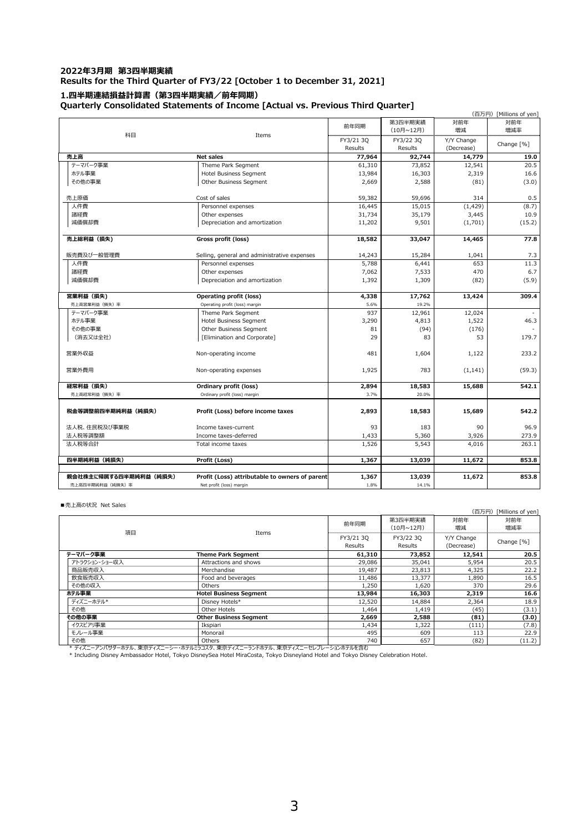### **2022年3⽉期 第3四半期実績 Results for the Third Quarter of FY3/22 [October 1 to December 31, 2021] 1.四半期連結損益計算書(第3四半期実績/前年同期)**

**Quarterly Consolidated Statements of Income [Actual vs. Previous Third Quarter]**

|                                        |                                                |           | 第3四半期実績   | 対前年        | (百万円) [Millions of yen]<br>対前年 |  |
|----------------------------------------|------------------------------------------------|-----------|-----------|------------|--------------------------------|--|
|                                        |                                                | 前年同期      | (10月~12月) | 増減         | 増減率                            |  |
| 科目                                     | Items                                          | FY3/21 30 | FY3/22 30 | Y/Y Change |                                |  |
|                                        |                                                | Results   | Results   | (Decrease) | Change [%]                     |  |
| 売上高                                    | <b>Net sales</b>                               | 77,964    | 92,744    | 14,779     | 19.0                           |  |
| テーマパーク事業                               | Theme Park Segment                             | 61,310    | 73,852    | 12,541     | 20.5                           |  |
| ホテル事業                                  | <b>Hotel Business Segment</b>                  | 13,984    | 16,303    | 2,319      | 16.6                           |  |
| その他の事業                                 | Other Business Segment                         | 2,669     | 2,588     | (81)       | (3.0)                          |  |
|                                        |                                                |           |           |            |                                |  |
| 売上原価                                   | Cost of sales                                  | 59,382    | 59,696    | 314        | 0.5                            |  |
| 人件費                                    | Personnel expenses                             | 16,445    | 15,015    | (1, 429)   | (8.7)                          |  |
| 諸経費                                    | Other expenses                                 | 31,734    | 35,179    | 3,445      | 10.9                           |  |
| 減価償却費<br>Depreciation and amortization |                                                | 11,202    | 9,501     | (1,701)    | (15.2)                         |  |
|                                        |                                                |           |           |            |                                |  |
| 売上総利益 (損失)                             | Gross profit (loss)                            | 18,582    | 33,047    | 14,465     | 77.8                           |  |
|                                        |                                                |           |           |            |                                |  |
| 販売費及び一般管理費                             | Selling, general and administrative expenses   | 14,243    | 15,284    | 1,041      | 7.3                            |  |
| 人件費                                    | Personnel expenses                             | 5,788     | 6,441     | 653        | 11.3                           |  |
| 諸経費                                    | Other expenses                                 | 7,062     | 7,533     | 470        | 6.7                            |  |
| 減価償却費<br>Depreciation and amortization |                                                | 1,392     | 1,309     | (82)       | (5.9)                          |  |
| 営業利益 (損失)                              | Operating profit (loss)                        | 4,338     | 17,762    | 13,424     | 309.4                          |  |
| 売上高営業利益 (損失) 率                         | Operating profit (loss) margin                 | 5.6%      | 19.2%     |            |                                |  |
| テーマパーク事業                               | Theme Park Segment                             | 937       | 12,961    | 12,024     |                                |  |
| ホテル事業                                  | Hotel Business Segment                         | 3,290     | 4,813     | 1,522      | 46.3                           |  |
| その他の事業                                 | Other Business Segment                         | 81        | (94)      | (176)      |                                |  |
| (消去又は全社)                               | [Elimination and Corporate]                    | 29        | 83        | 53         | 179.7                          |  |
|                                        |                                                |           |           |            |                                |  |
| 営業外収益                                  | Non-operating income                           | 481       | 1,604     | 1,122      | 233.2                          |  |
|                                        |                                                |           |           |            |                                |  |
| 営業外費用                                  | Non-operating expenses                         | 1,925     | 783       | (1, 141)   | (59.3)                         |  |
|                                        |                                                |           |           |            |                                |  |
| 経常利益 (損失)                              | Ordinary profit (loss)                         | 2,894     | 18,583    | 15,688     | 542.1                          |  |
| 売上高経常利益 (損失)率                          | Ordinary profit (loss) margin                  | 3.7%      | 20.0%     |            |                                |  |
|                                        |                                                |           |           |            |                                |  |
| 税金等調整前四半期純利益(純損失)                      | Profit (Loss) before income taxes              | 2,893     | 18,583    | 15,689     | 542.2                          |  |
| 法人税、住民税及び事業税                           | Income taxes-current                           | 93        | 183       | 90         | 96.9                           |  |
| 法人税等調整額                                | Income taxes-deferred                          | 1,433     | 5,360     | 3,926      | 273.9                          |  |
| 法人税等合計                                 | Total income taxes                             | 1,526     | 5,543     | 4,016      | 263.1                          |  |
|                                        |                                                |           |           |            |                                |  |
| 四半期純利益 (純損失)                           | Profit (Loss)                                  | 1,367     | 13,039    | 11,672     | 853.8                          |  |
|                                        |                                                |           |           |            |                                |  |
| 親会社株主に帰属する四半期純利益(純損失)                  | Profit (Loss) attributable to owners of parent | 1,367     | 13,039    | 11,672     | 853.8                          |  |
| 売上高四半期純利益(純損失)率                        | Net profit (loss) margin                       | 1.8%      | 14.1%     |            |                                |  |

■売上高の状況 Net Sales

|    |               |                                                                                                                                                                                                             |                      |                             | (百万円)                    | [Millions of yen] |
|----|---------------|-------------------------------------------------------------------------------------------------------------------------------------------------------------------------------------------------------------|----------------------|-----------------------------|--------------------------|-------------------|
| 項目 |               | Items                                                                                                                                                                                                       | 前年同期                 | 第3四半期実績<br>(10月~12月)        | 対前年<br>増減                | 対前年<br>増減率        |
|    |               |                                                                                                                                                                                                             | FY3/21 30<br>Results | FY3/22 30<br><b>Results</b> | Y/Y Change<br>(Decrease) | Change [%]        |
|    | テーマパーク事業      | Theme Park Seament                                                                                                                                                                                          | 61,310               | 73,852                      | 12,541                   | 20.5              |
|    | アトラクション・ショー収入 | Attractions and shows                                                                                                                                                                                       | 29,086               | 35,041                      | 5,954                    | 20.5              |
|    | 商品販売収入        | Merchandise                                                                                                                                                                                                 | 19,487               | 23,813                      | 4,325                    | 22.2              |
|    | 飲食販売収入        | Food and beverages                                                                                                                                                                                          | 11,486               | 13,377                      | 1,890                    | 16.5              |
|    | その他の収入        | Others                                                                                                                                                                                                      | 1,250                | 1,620                       | 370                      | 29.6              |
|    | ホテル事業         | <b>Hotel Business Seament</b>                                                                                                                                                                               | 13,984               | 16,303                      | 2,319                    | 16.6              |
|    | ディズニーホテル*     | Disney Hotels*                                                                                                                                                                                              | 12,520               | 14.884                      | 2,364                    | 18.9              |
|    | その他           | Other Hotels                                                                                                                                                                                                | 1,464                | 1,419                       | (45)                     | (3.1)             |
|    | その他の事業        | <b>Other Business Seament</b>                                                                                                                                                                               | 2,669                | 2,588                       | (81)                     | (3.0)             |
|    | イクスピアリ事業      | Ikspiari                                                                                                                                                                                                    | 1,434                | 1,322                       | (111)                    | (7.8)             |
|    | モノレール事業       | Monorail                                                                                                                                                                                                    | 495                  | 609                         | 113                      | 22.9              |
|    | その他           | Others                                                                                                                                                                                                      | 740                  | 657                         | (82)                     | (11.2)            |
|    |               | * ディズニーアンバサダーホテル、東京ディズニーシー・ホテルミラコスタ、東京ディズニーランドホテル、東京ディズニーセレブレーションホテルを含む<br>* Including Disney Ambassador Hotel, Tokyo DisneySea Hotel MiraCosta, Tokyo Disneyland Hotel and Tokyo Disney Celebration Hotel. |                      |                             |                          |                   |